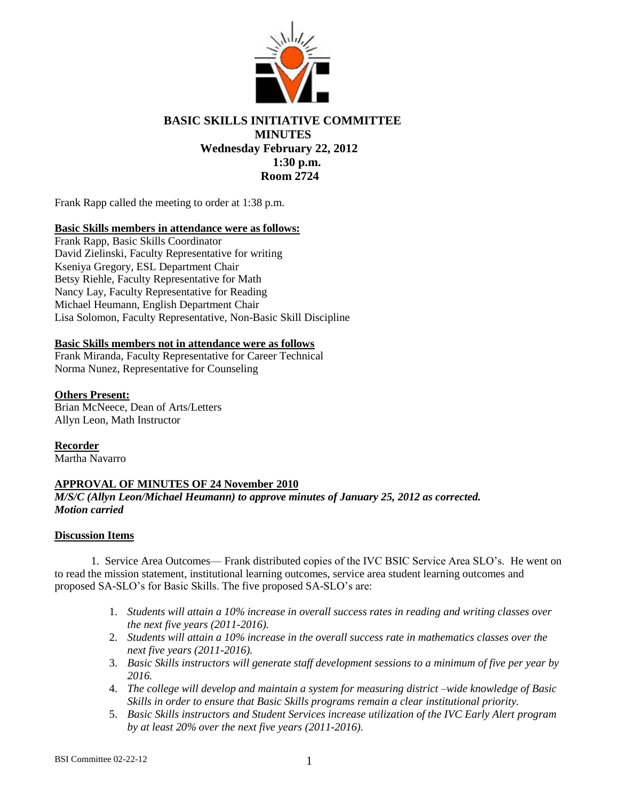

# **BASIC SKILLS INITIATIVE COMMITTEE MINUTES Wednesday February 22, 2012 1:30 p.m. Room 2724**

Frank Rapp called the meeting to order at 1:38 p.m.

## **Basic Skills members in attendance were as follows:**

Frank Rapp, Basic Skills Coordinator David Zielinski, Faculty Representative for writing Kseniya Gregory, ESL Department Chair Betsy Riehle, Faculty Representative for Math Nancy Lay, Faculty Representative for Reading Michael Heumann, English Department Chair Lisa Solomon, Faculty Representative, Non-Basic Skill Discipline

### **Basic Skills members not in attendance were as follows**

Frank Miranda, Faculty Representative for Career Technical Norma Nunez, Representative for Counseling

## **Others Present:**

Brian McNeece, Dean of Arts/Letters Allyn Leon, Math Instructor

**Recorder** Martha Navarro

## **APPROVAL OF MINUTES OF 24 November 2010**

## *M/S/C (Allyn Leon/Michael Heumann) to approve minutes of January 25, 2012 as corrected. Motion carried*

### **Discussion Items**

1. Service Area Outcomes— Frank distributed copies of the IVC BSIC Service Area SLO's. He went on to read the mission statement, institutional learning outcomes, service area student learning outcomes and proposed SA-SLO's for Basic Skills. The five proposed SA-SLO's are:

- 1. *Students will attain a 10% increase in overall success rates in reading and writing classes over the next five years (2011-2016).*
- 2. *Students will attain a 10% increase in the overall success rate in mathematics classes over the next five years (2011-2016).*
- 3. *Basic Skills instructors will generate staff development sessions to a minimum of five per year by 2016.*
- 4. *The college will develop and maintain a system for measuring district –wide knowledge of Basic Skills in order to ensure that Basic Skills programs remain a clear institutional priority.*
- 5. *Basic Skills instructors and Student Services increase utilization of the IVC Early Alert program by at least 20% over the next five years (2011-2016).*